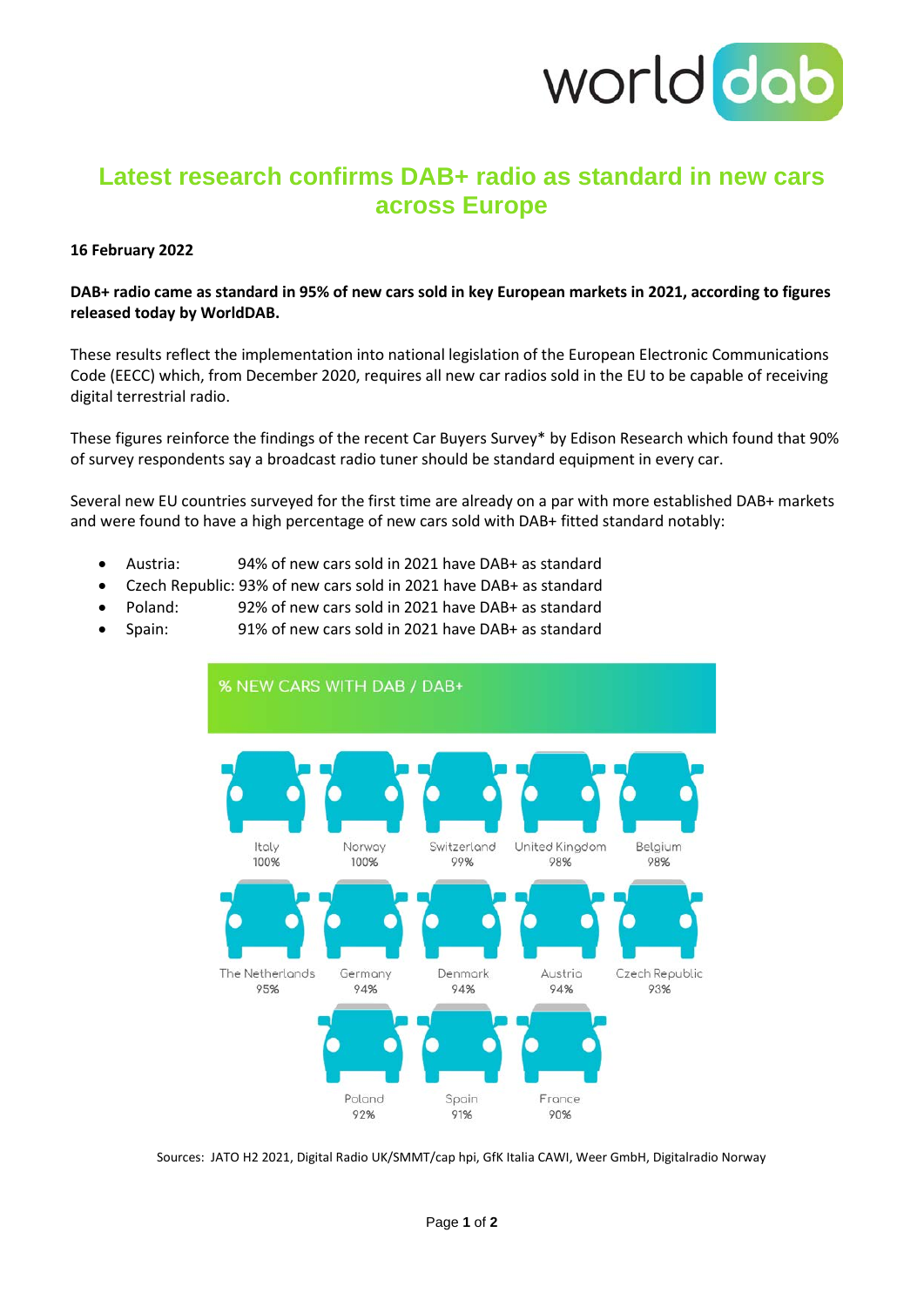

# **Latest research confirms DAB+ radio as standard in new cars across Europe**

#### **16 February 2022**

**DAB+ radio came as standard in 95% of new cars sold in key European markets in 2021, according to figures released today by WorldDAB.** 

These results reflect the implementation into national legislation of the European Electronic Communications Code (EECC) which, from December 2020, requires all new car radios sold in the EU to be capable of receiving digital terrestrial radio.

These figures reinforce the findings of the recent Car Buyers Survey\* by Edison Research which found that 90% of survey respondents say a broadcast radio tuner should be standard equipment in every car.

Several new EU countries surveyed for the first time are already on a par with more established DAB+ markets and were found to have a high percentage of new cars sold with DAB+ fitted standard notably:

- Austria: 94% of new cars sold in 2021 have DAB+ as standard
- Czech Republic: 93% of new cars sold in 2021 have DAB+ as standard
- Poland: 92% of new cars sold in 2021 have DAB+ as standard
- Spain: 91% of new cars sold in 2021 have DAB+ as standard



Sources: JATO H2 2021, Digital Radio UK/SMMT/cap hpi, GfK Italia CAWI, Weer GmbH, Digitalradio Norway